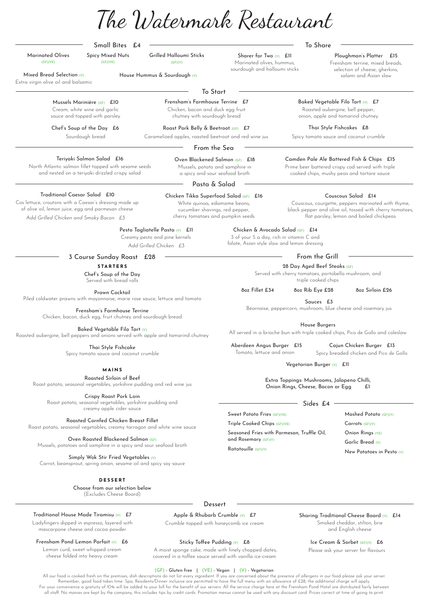## Camden Pale Ale Battered Fish & Chips £15

Extra virgin olive oil and balsamic Mixed Bread Selection (V) House Hummus & Sourdough (V)

> Prime beer battered crispy cod served with triple cooked chips, mushy peas and tartare sauce

## Small Bites £4

Marinated Olives (GF)(VE)

Sharer for Two (V) Ell Marinated olives, hummus, sourdough and halloumi sticks

Grilled Halloumi Sticks (GF)(V)

Spicy Mixed Nuts (GF)(VE)

> Baked Vegetable Filo Tart (V) £7 Roasted aubergine, bell pepper,

To Share

To Start

Chef's Soup of the Day £6 Sourdough bread

Frensham's Farmhouse Terrine £7 Chicken, bacon and duck egg fruit chutney with sourdough bread

onion, apple and tamarind chutney

Thai Style Fishcakes £8

Spicy tomato sauce and coconut crumble

From the Sea

Oven Blackened Salmon (GF) £18 Mussels, potato and samphire in a spicy and sour seafood broth

> Extra Toppings: Mushrooms, Jalapeno Chilli, Onion Rings, Cheese, Bacon or Egg

Teriyaki Salmon Salad £16 North Atlantic salmon fillet topped with sesame seeds and nested on a teriyaki drizzled crispy salad

Pasta & Salad

Chicken & Avocado Salad (GF) £14 3 of your 5 a day, rich in vitamin C and folate, Asian style slaw and lemon dressing

## Chicken Tikka Superfood Salad (GF) £16

White quinoa, edamame beans, cucumber shavings, red pepper, cherry tomatoes and pumpkin seeds

Pesto Tagliatelle Pasta (V) £11

## Couscous Salad £14

Couscous, courgette, peppers marinated with thyme, black pepper and olive oil, tossed with cherry tomatoes, flat parsley, lemon and boiled chickpeas

Creamy pesto and pine kernels *Add Grilled Chicken £3*

Traditional Caesar Salad £10 Cos lettuce, croutons with a Caesar's dressing made up of olive oil, lemon juice, egg and parmesan cheese

> Aberdeen Angus Burger £15 Tomato, lettuce and onion

Cajun Chicken Burger £13 Spicy breaded chicken and Pico de Gallo

Vegetarian Burger (V) £11

House Burgers

All served in a brioche bun with triple cooked chips, Pico de Gallo and coleslaw

*Add Grilled Chicken and Smoky Bacon £3*

Mussels Marinière (GF) £10 Cream, white wine and garlic sauce and topped with parsley

> Roast Pork Belly & Beetroot (GF) £7 Caramelized apples, roasted beetroot and red wine jus

## 28 Day Aged Beef Steaks (GF)

Served with cherry tomatoes, portobello mushroom, and triple cooked chips

8oz Fillet £34 8oz Rib Eye £28 8oz Sirloin £26

Sauces £3

Béarnaise, peppercorn, mushroom, blue cheese and rosemary jus

## Sides £4

Sweet Potato Fries (GF)(VE)

Triple Cooked Chips (GF)(VE)

Seasoned Fries with Parmesan, Truffle Oil, and Rosemary (GF)(V)

3 Course Sunday Roast £28 From the Grill **STARTERS**

Ratatouille (GF)(V)

Mashed Potato (GF)(V) Carrots (GF)(V) Onion Rings (VE) Garlic Bread (V) New Potatoes in Pesto (V)

Ladyfingers dipped in espresso, layered with mascarpone cheese and cocoa powder

Crumble topped with honeycomb ice cream

## Sharing Traditional Cheese Board (V) £14

## Ice Cream & Sorbet (GF)(V) £6

Please ask your server for flavours

## Frensham Pond Lemon Parfait (V) £6

Lemon curd, sweet whipped cream cheese folded into heavy cream

## Apple & Rhubarb Crumble (V) E7

## (GF) - Gluten free | (VE) - Vegan | (V) - Vegetarian

All our food is cooked fresh on the premises, dish descriptions do not list every ingredient. If you are concerned about the presence of allergens in our food please ask your server. Remember, good food takes time. Spa, Residents/Dinner inclusive are permitted to have the full menu with an allowance of £28, the additional charge will apply. For your convenience a gratuity of 10% will be added to your bill for the benefit of our servers. All the service charge here at the Frensham Pond Hotel are distributed fairly between all staff. No monies are kept by the company; this includes tips by credit cards. Promotion menus cannot be used with any discount card. Prices correct at time of going to print

Smoked cheddar, stilton, brie and English cheese

## Sticky Toffee Pudding (V) £8

 A moist sponge cake, made with finely chopped dates, covered in a toffee sauce served with vanilla ice-cream

## Ploughman's Platter £15

Frensham terrine, mixed breads, selection of cheese, gherkins, salami and Asian slaw

Chef's Soup of the Day Served with bread rolls

Prawn Cocktail Piled coldwater prawns with mayonnaise, marie rose sauce, lettuce and tomato

> Frensham's Farmhouse Terrine Chicken, bacon, duck egg, fruit chutney and sourdough bread

Baked Vegetable Filo Tart (V) Roasted aubergine, bell peppers and onions served with apple and tamarind chutney

> Thai Style Fishcake Spicy tomato sauce and coconut crumble

Roasted Sirloin of Beef Roast potato, seasonal vegetables, yorkshire pudding and red wine jus

Crispy Roast Pork Loin Roast potato, seasonal vegetables, yorkshire pudding and creamy apple cider sauce

Roasted Cornfed Chicken Breast Fillet Roast potato, seasonal vegetables, creamy tarragon and white wine sauce

Oven Roasted Blackened Salmon (GF) Mussels, potatoes and samphire in a spicy and sour seafood broth

Simply Wok Stir Fried Vegetables (V)

Carrot, beansprout, spring onion, sesame oil and spicy soy sauce

Choose from our selection below (Excludes Cheese Board)

## **Dessert**

## Traditional House Made Tiramisu (V) £7

## **MAINS**

#### **DESSERT**

The Watermark Restaurant